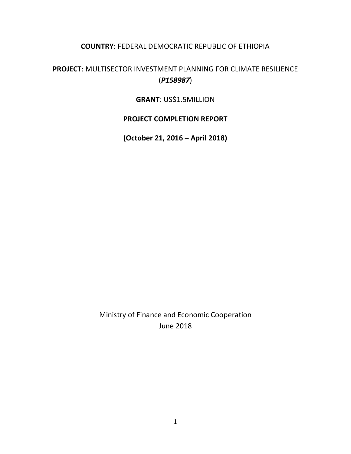# **COUNTRY**: FEDERAL DEMOCRATIC REPUBLIC OF ETHIOPIA

# **PROJECT**: MULTISECTOR INVESTMENT PLANNING FOR CLIMATE RESILIENCE (*P158987*)

# **GRANT**: US\$1.5MILLION

# **PROJECT COMPLETION REPORT**

**(October 21, 2016 – April 2018)**

Ministry of Finance and Economic Cooperation June 2018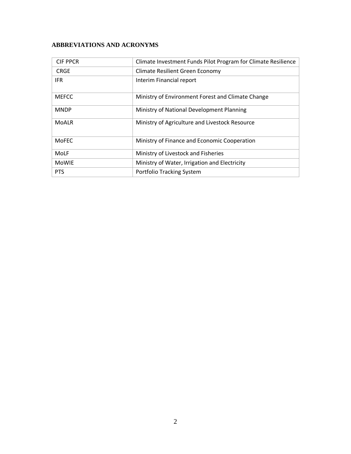# **ABBREVIATIONS AND ACRONYMS**

| <b>CIF PPCR</b> | Climate Investment Funds Pilot Program for Climate Resilience |
|-----------------|---------------------------------------------------------------|
| <b>CRGE</b>     | Climate Resilient Green Economy                               |
| <b>IFR</b>      | Interim Financial report                                      |
| <b>MEFCC</b>    | Ministry of Environment Forest and Climate Change             |
| <b>MNDP</b>     | Ministry of National Development Planning                     |
| <b>MoALR</b>    | Ministry of Agriculture and Livestock Resource                |
| <b>MoFEC</b>    | Ministry of Finance and Economic Cooperation                  |
| MoLF            | Ministry of Livestock and Fisheries                           |
| <b>MoWIE</b>    | Ministry of Water, Irrigation and Electricity                 |
| <b>PTS</b>      | Portfolio Tracking System                                     |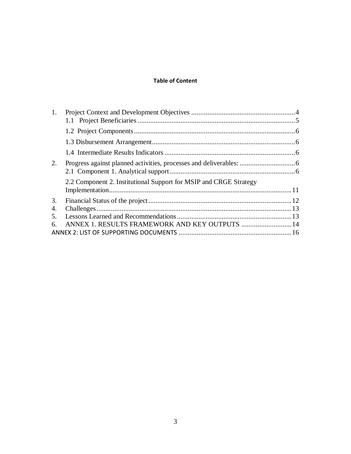# **Table of Content**

| 1. |                                                                   |  |
|----|-------------------------------------------------------------------|--|
|    |                                                                   |  |
|    |                                                                   |  |
|    |                                                                   |  |
|    |                                                                   |  |
| 2. |                                                                   |  |
|    |                                                                   |  |
|    | 2.2 Component 2. Institutional Support for MSIP and CRGE Strategy |  |
|    |                                                                   |  |
| 3. |                                                                   |  |
| 4. |                                                                   |  |
| 5. |                                                                   |  |
| 6. | ANNEX 1. RESULTS FRAMEWORK AND KEY OUTPUTS  14                    |  |
|    |                                                                   |  |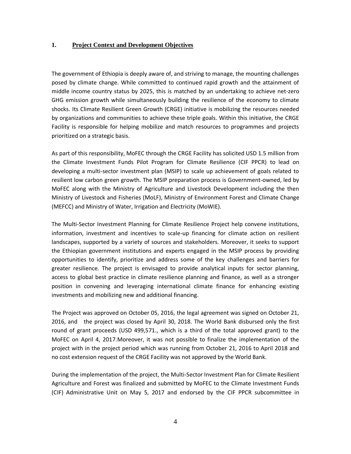#### <span id="page-3-0"></span>**1. Project Context and Development Objectives**

The government of Ethiopia is deeply aware of, and striving to manage, the mounting challenges posed by climate change. While committed to continued rapid growth and the attainment of middle income country status by 2025, this is matched by an undertaking to achieve net-zero GHG emission growth while simultaneously building the resilience of the economy to climate shocks. Its Climate Resilient Green Growth (CRGE) initiative is mobilizing the resources needed by organizations and communities to achieve these triple goals. Within this initiative, the CRGE Facility is responsible for helping mobilize and match resources to programmes and projects prioritized on a strategic basis.

As part of this responsibility, MoFEC through the CRGE Facility has solicited USD 1.5 million from the Climate Investment Funds Pilot Program for Climate Resilience (CIF PPCR) to lead on developing a multi-sector investment plan (MSIP) to scale up achievement of goals related to resilient low carbon green growth. The MSIP preparation process is Government-owned, led by MoFEC along with the Ministry of Agriculture and Livestock Development including the then Ministry of Livestock and Fisheries (MoLF), Ministry of Environment Forest and Climate Change (MEFCC) and Ministry of Water, Irrigation and Electricity (MoWIE).

The Multi-Sector Investment Planning for Climate Resilience Project help convene institutions, information, investment and incentives to scale-up financing for climate action on resilient landscapes, supported by a variety of sources and stakeholders. Moreover, it seeks to support the Ethiopian government institutions and experts engaged in the MSIP process by providing opportunities to identify, prioritize and address some of the key challenges and barriers for greater resilience. The project is envisaged to provide analytical inputs for sector planning, access to global best practice in climate resilience planning and finance, as well as a stronger position in convening and leveraging international climate finance for enhancing existing investments and mobilizing new and additional financing.

The Project was approved on October 05, 2016, the legal agreement was signed on October 21, 2016, and the project was closed by April 30, 2018. The World Bank disbursed only the first round of grant proceeds (USD 499,571., which is a third of the total approved grant) to the MoFEC on April 4, 2017.Moreover, it was not possible to finalize the implementation of the project with in the project period which was running from October 21, 2016 to April 2018 and no cost extension request of the CRGE Facility was not approved by the World Bank.

During the implementation of the project, the Multi-Sector Investment Plan for Climate Resilient Agriculture and Forest was finalized and submitted by MoFEC to the Climate Investment Funds (CIF) Administrative Unit on May 5, 2017 and endorsed by the CIF PPCR subcommittee in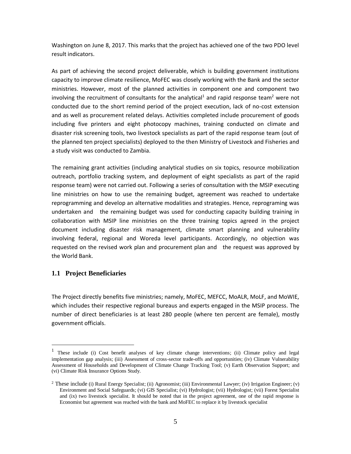Washington on June 8, 2017. This marks that the project has achieved one of the two PDO level result indicators.

As part of achieving the second project deliverable, which is building government institutions capacity to improve climate resilience, MoFEC was closely working with the Bank and the sector ministries. However, most of the planned activities in component one and component two involving the recruitment of consultants for the analytical<sup>1</sup> and rapid response team<sup>2</sup> were not conducted due to the short remind period of the project execution, lack of no-cost extension and as well as procurement related delays. Activities completed include procurement of goods including five printers and eight photocopy machines, training conducted on climate and disaster risk screening tools, two livestock specialists as part of the rapid response team (out of the planned ten project specialists) deployed to the then Ministry of Livestock and Fisheries and a study visit was conducted to Zambia.

The remaining grant activities (including analytical studies on six topics, resource mobilization outreach, portfolio tracking system, and deployment of eight specialists as part of the rapid response team) were not carried out. Following a series of consultation with the MSIP executing line ministries on how to use the remaining budget, agreement was reached to undertake reprogramming and develop an alternative modalities and strategies. Hence, reprograming was undertaken and the remaining budget was used for conducting capacity building training in collaboration with MSIP line ministries on the three training topics agreed in the project document including disaster risk management, climate smart planning and vulnerability involving federal, regional and Woreda level participants. Accordingly, no objection was requested on the revised work plan and procurement plan and the request was approved by the World Bank.

#### <span id="page-4-0"></span>**1.1 Project Beneficiaries**

 $\overline{a}$ 

The Project directly benefits five ministries; namely, MoFEC, MEFCC, MoALR, MoLF, and MoWIE, which includes their respective regional bureaus and experts engaged in the MSIP process. The number of direct beneficiaries is at least 280 people (where ten percent are female), mostly government officials.

<sup>&</sup>lt;sup>1</sup> These include (i) Cost benefit analyses of key climate change interventions; (ii) Climate policy and legal implementation gap analysis; (iii) Assessment of cross-sector trade-offs and opportunities; (iv) Climate Vulnerability Assessment of Households and Development of Climate Change Tracking Tool; (v) Earth Observation Support; and (vi) Climate Risk Insurance Options Study.

<sup>&</sup>lt;sup>2</sup> These include (i) Rural Energy Specialist; (ii) Agronomist; (iii) Environmental Lawyer; (iv) Irrigation Engineer; (v) Environment and Social Safeguards; (vi) GIS Specialist; (vi) Hydrologist; (vii) Hydrologist; (vii) Forest Specialist and (ix) two livestock specialist. It should be noted that in the project agreement, one of the rapid response is Economist but agreement was reached with the bank and MoFEC to replace it by livestock specialist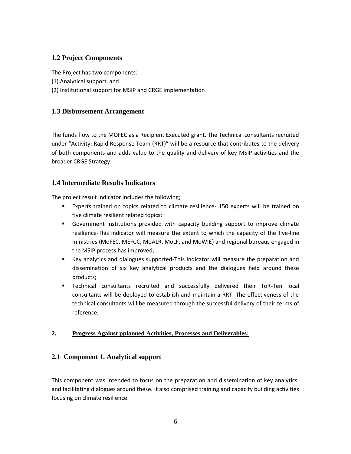# <span id="page-5-0"></span>**1.2 Project Components**

The Project has two components:

- (1) Analytical support, and
- (2) Institutional support for MSIP and CRGE implementation

# <span id="page-5-1"></span>**1.3 Disbursement Arrangement**

The funds flow to the MOFEC as a Recipient Executed grant. The Technical consultants recruited under "Activity: Rapid Response Team (RRT)" will be a resource that contributes to the delivery of both components and adds value to the quality and delivery of key MSIP activities and the broader CRGE Strategy.

# <span id="page-5-2"></span>**1.4 Intermediate Results Indicators**

The project result indicator includes the following;

- Experts trained on topics related to climate resilience- 150 experts will be trained on five climate resilient related topics;
- **EX Government institutions provided with capacity building support to improve climate** resilience-This indicator will measure the extent to which the capacity of the five-line ministries (MoFEC, MEFCC, MoALR, MoLF, and MoWIE) and regional bureaus engaged in the MSIP process has improved;
- Key analytics and dialogues supported-This indicator will measure the preparation and dissemination of six key analytical products and the dialogues held around these products;
- Technical consultants recruited and successfully delivered their ToR-Ten local consultants will be deployed to establish and maintain a RRT. The effectiveness of the technical consultants will be measured through the successful delivery of their terms of reference;

# <span id="page-5-3"></span>**2. Progress Against pplanned Activities, Processes and Deliverables:**

# <span id="page-5-4"></span>**2.1 Component 1. Analytical support**

This component was intended to focus on the preparation and dissemination of key analytics, and facilitating dialogues around these. It also comprised training and capacity building activities focusing on climate resilience.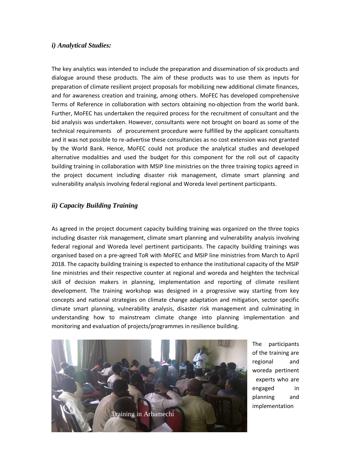#### *i) Analytical Studies:*

The key analytics was intended to include the preparation and dissemination of six products and dialogue around these products. The aim of these products was to use them as inputs for preparation of climate resilient project proposals for mobilizing new additional climate finances, and for awareness creation and training, among others. MoFEC has developed comprehensive Terms of Reference in collaboration with sectors obtaining no-objection from the world bank. Further, MoFEC has undertaken the required process for the recruitment of consultant and the bid analysis was undertaken. However, consultants were not brought on board as some of the technical requirements of procurement procedure were fulfilled by the applicant consultants and it was not possible to re-advertise these consultancies as no cost extension was not granted by the World Bank. Hence, MoFEC could not produce the analytical studies and developed alternative modalities and used the budget for this component for the roll out of capacity building training in collaboration with MSIP line ministries on the three training topics agreed in the project document including disaster risk management, climate smart planning and vulnerability analysis involving federal regional and Woreda level pertinent participants.

## *ii) Capacity Building Training*

As agreed in the project document capacity building training was organized on the three topics including disaster risk management, climate smart planning and vulnerability analysis involving federal regional and Woreda level pertinent participants. The capacity building trainings was organised based on a pre-agreed ToR with MoFEC and MSIP line ministries from March to April 2018. The capacity building training is expected to enhance the institutional capacity of the MSIP line ministries and their respective counter at regional and woreda and heighten the technical skill of decision makers in planning, implementation and reporting of climate resilient development. The training workshop was designed in a progressive way starting from key concepts and national strategies on climate change adaptation and mitigation, sector specific climate smart planning, vulnerability analysis, disaster risk management and culminating in understanding how to mainstream climate change into planning implementation and monitoring and evaluation of projects/programmes in resilience building.



The participants of the training are regional and woreda pertinent experts who are engaged in planning and implementation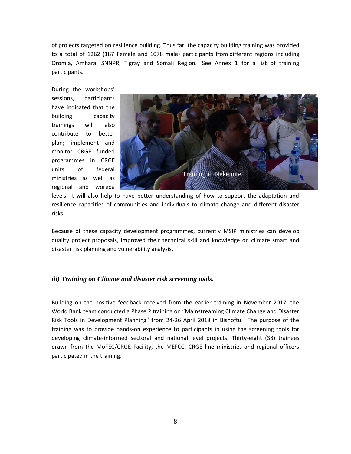of projects targeted on resilience building. Thus far, the capacity building training was provided to a total of 1262 (187 Female and 1078 male) participants from different regions including Oromia, Amhara, SNNPR, Tigray and Somali Region. See Annex 1 for a list of training participants.

During the workshops' sessions, participants have indicated that the building capacity trainings will also contribute to better plan; implement and monitor CRGE funded programmes in CRGE units of federal ministries as well as regional and woreda



levels. It will also help to have better understanding of how to support the adaptation and resilience capacities of communities and individuals to climate change and different disaster risks.

Because of these capacity development programmes, currently MSIP ministries can develop quality project proposals, improved their technical skill and knowledge on climate smart and disaster risk planning and vulnerability analysis.

### *iii) Training on Climate and disaster risk screening tools.*

Building on the positive feedback received from the earlier training in November 2017, the World Bank team conducted a Phase 2 training on "Mainstreaming Climate Change and Disaster Risk Tools in Development Planning" from 24-26 April 2018 in Bishoftu. The purpose of the training was to provide hands-on experience to participants in using the screening tools for developing climate-informed sectoral and national level projects. Thirty-eight (38) trainees drawn from the MoFEC/CRGE Facility, the MEFCC, CRGE line ministries and regional officers participated in the training.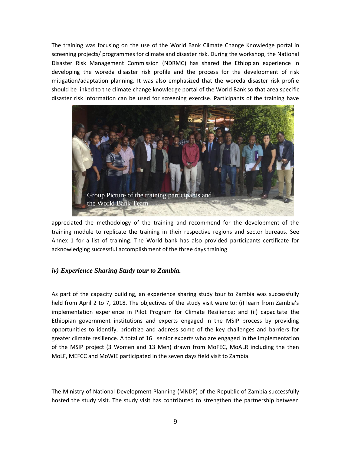The training was focusing on the use of the World Bank Climate Change Knowledge portal in screening projects/ programmes for climate and disaster risk. During the workshop, the National Disaster Risk Management Commission (NDRMC) has shared the Ethiopian experience in developing the woreda disaster risk profile and the process for the development of risk mitigation/adaptation planning. It was also emphasized that the woreda disaster risk profile should be linked to the climate change knowledge portal of the World Bank so that area specific disaster risk information can be used for screening exercise. Participants of the training have



appreciated the methodology of the training and recommend for the development of the training module to replicate the training in their respective regions and sector bureaus. See Annex 1 for a list of training. The World bank has also provided participants certificate for acknowledging successful accomplishment of the three days training

### *iv) Experience Sharing Study tour to Zambia.*

As part of the capacity building, an experience sharing study tour to Zambia was successfully held from April 2 to 7, 2018. The objectives of the study visit were to: (i) learn from Zambia's implementation experience in Pilot Program for Climate Resilience; and (ii) capacitate the Ethiopian government institutions and experts engaged in the MSIP process by providing opportunities to identify, prioritize and address some of the key challenges and barriers for greater climate resilience. A total of 16 senior experts who are engaged in the implementation of the MSIP project (3 Women and 13 Men) drawn from MoFEC, MoALR including the then MoLF, MEFCC and MoWIE participated in the seven days field visit to Zambia.

The Ministry of National Development Planning (MNDP) of the Republic of Zambia successfully hosted the study visit. The study visit has contributed to strengthen the partnership between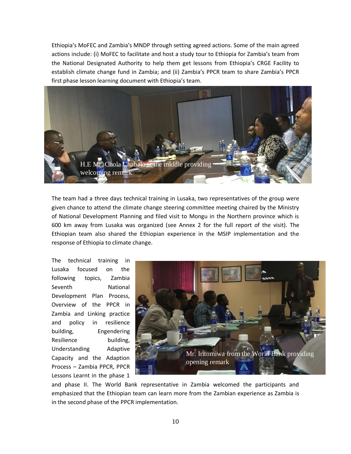Ethiopia's MoFEC and Zambia's MNDP through setting agreed actions. Some of the main agreed actions include: (i) MoFEC to facilitate and host a study tour to Ethiopia for Zambia's team from the National Designated Authority to help them get lessons from Ethiopia's CRGE Facility to establish climate change fund in Zambia; and (ii) Zambia's PPCR team to share Zambia's PPCR first phase lesson learning document with Ethiopia's team.



The team had a three days technical training in Lusaka, two representatives of the group were given chance to attend the climate change steering committee meeting chaired by the Ministry of National Development Planning and filed visit to Mongu in the Northern province which is 600 km away from Lusaka was organized (see Annex 2 for the full report of the visit). The Ethiopian team also shared the Ethiopian experience in the MSIP implementation and the response of Ethiopia to climate change.

The technical training in Lusaka focused on the following topics, Zambia Seventh National Development Plan Process, Overview of the PPCR in Zambia and Linking practice and policy in resilience building, Engendering Resilience building, Understanding Adaptive Capacity and the Adaption Process – Zambia PPCR, PPCR Lessons Learnt in the phase 1



and phase II. The World Bank representative in Zambia welcomed the participants and emphasized that the Ethiopian team can learn more from the Zambian experience as Zambia is in the second phase of the PPCR implementation.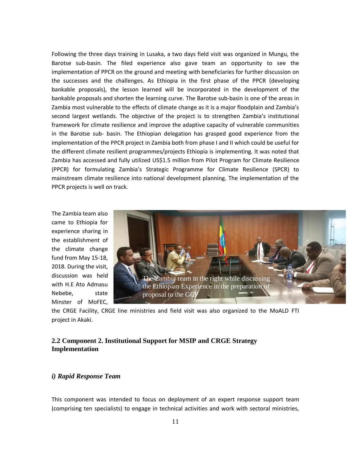Following the three days training in Lusaka, a two days field visit was organized in Mungu, the Barotse sub-basin. The filed experience also gave team an opportunity to see the implementation of PPCR on the ground and meeting with beneficiaries for further discussion on the successes and the challenges. As Ethiopia in the first phase of the PPCR (developing bankable proposals), the lesson learned will be incorporated in the development of the bankable proposals and shorten the learning curve. The Barotse sub-basin is one of the areas in Zambia most vulnerable to the effects of climate change as it is a major floodplain and Zambia's second largest wetlands. The objective of the project is to strengthen Zambia's institutional framework for climate resilience and improve the adaptive capacity of vulnerable communities in the Barotse sub- basin. The Ethiopian delegation has grasped good experience from the implementation of the PPCR project in Zambia both from phase I and II which could be useful for the different climate resilient programmes/projects Ethiopia is implementing. It was noted that Zambia has accessed and fully utilized US\$1.5 million from Pilot Program for Climate Resilience (PPCR) for formulating Zambia's Strategic Programme for Climate Resilience (SPCR) to mainstream climate resilience into national development planning. The implementation of the PPCR projects is well on track.

The Zambia team also came to Ethiopia for experience sharing in the establishment of the climate change fund from May 15-18, 2018. During the visit, discussion was held with H.E Ato Admasu Nebebe, state Minster of MoFEC,



the CRGE Facility, CRGE line ministries and field visit was also organized to the MoALD FTI project in Akaki.

## <span id="page-10-0"></span>**2.2 Component 2. Institutional Support for MSIP and CRGE Strategy Implementation**

#### *i) Rapid Response Team*

This component was intended to focus on deployment of an expert response support team (comprising ten specialists) to engage in technical activities and work with sectoral ministries,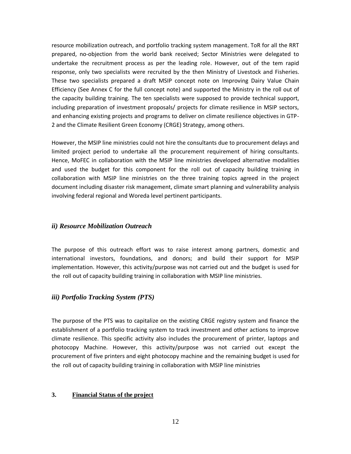resource mobilization outreach, and portfolio tracking system management. ToR for all the RRT prepared, no-objection from the world bank received; Sector Ministries were delegated to undertake the recruitment process as per the leading role. However, out of the tem rapid response, only two specialists were recruited by the then Ministry of Livestock and Fisheries. These two specialists prepared a draft MSIP concept note on Improving Dairy Value Chain Efficiency (See Annex C for the full concept note) and supported the Ministry in the roll out of the capacity building training. The ten specialists were supposed to provide technical support, including preparation of investment proposals/ projects for climate resilience in MSIP sectors, and enhancing existing projects and programs to deliver on climate resilience objectives in GTP-2 and the Climate Resilient Green Economy (CRGE) Strategy, among others.

However, the MSIP line ministries could not hire the consultants due to procurement delays and limited project period to undertake all the procurement requirement of hiring consultants. Hence, MoFEC in collaboration with the MSIP line ministries developed alternative modalities and used the budget for this component for the roll out of capacity building training in collaboration with MSIP line ministries on the three training topics agreed in the project document including disaster risk management, climate smart planning and vulnerability analysis involving federal regional and Woreda level pertinent participants.

#### *ii) Resource Mobilization Outreach*

The purpose of this outreach effort was to raise interest among partners, domestic and international investors, foundations, and donors; and build their support for MSIP implementation. However, this activity/purpose was not carried out and the budget is used for the roll out of capacity building training in collaboration with MSIP line ministries.

### *iii) Portfolio Tracking System (PTS)*

The purpose of the PTS was to capitalize on the existing CRGE registry system and finance the establishment of a portfolio tracking system to track investment and other actions to improve climate resilience. This specific activity also includes the procurement of printer, laptops and photocopy Machine. However, this activity/purpose was not carried out except the procurement of five printers and eight photocopy machine and the remaining budget is used for the roll out of capacity building training in collaboration with MSIP line ministries

#### <span id="page-11-0"></span>**3. Financial Status of the project**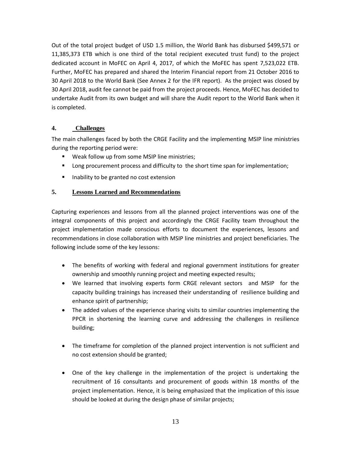Out of the total project budget of USD 1.5 million, the World Bank has disbursed \$499,571 or 11,385,373 ETB which is one third of the total recipient executed trust fund) to the project dedicated account in MoFEC on April 4, 2017, of which the MoFEC has spent 7,523,022 ETB. Further, MoFEC has prepared and shared the Interim Financial report from 21 October 2016 to 30 April 2018 to the World Bank (See Annex 2 for the IFR report). As the project was closed by 30 April 2018, audit fee cannot be paid from the project proceeds. Hence, MoFEC has decided to undertake Audit from its own budget and will share the Audit report to the World Bank when it is completed.

## <span id="page-12-0"></span>**4. Challenges**

The main challenges faced by both the CRGE Facility and the implementing MSIP line ministries during the reporting period were:

- Weak follow up from some MSIP line ministries;
- **■** Long procurement process and difficulty to the short time span for implementation;
- Inability to be granted no cost extension

### <span id="page-12-1"></span>**5. Lessons Learned and Recommendations**

Capturing experiences and lessons from all the planned project interventions was one of the integral components of this project and accordingly the CRGE Facility team throughout the project implementation made conscious efforts to document the experiences, lessons and recommendations in close collaboration with MSIP line ministries and project beneficiaries. The following include some of the key lessons:

- The benefits of working with federal and regional government institutions for greater ownership and smoothly running project and meeting expected results;
- We learned that involving experts form CRGE relevant sectors and MSIP for the capacity building trainings has increased their understanding of resilience building and enhance spirit of partnership;
- The added values of the experience sharing visits to similar countries implementing the PPCR in shortening the learning curve and addressing the challenges in resilience building;
- The timeframe for completion of the planned project intervention is not sufficient and no cost extension should be granted;
- One of the key challenge in the implementation of the project is undertaking the recruitment of 16 consultants and procurement of goods within 18 months of the project implementation. Hence, it is being emphasized that the implication of this issue should be looked at during the design phase of similar projects;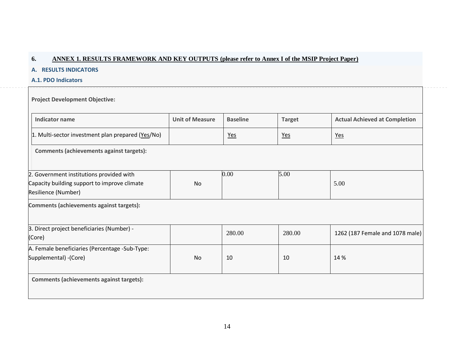## **6. ANNEX 1. RESULTS FRAMEWORK AND KEY OUTPUTS (please refer to Annex I of the MSIP Project Paper)**

#### **A. RESULTS INDICATORS**

**A.1. PDO Indicators**

**Project Development Objective:** 

<span id="page-13-0"></span>

| <b>Indicator name</b>                                                                                           | <b>Unit of Measure</b> | <b>Baseline</b> | <b>Target</b> | <b>Actual Achieved at Completion</b> |  |  |  |  |  |
|-----------------------------------------------------------------------------------------------------------------|------------------------|-----------------|---------------|--------------------------------------|--|--|--|--|--|
| 1. Multi-sector investment plan prepared (Yes/No)                                                               |                        | <u>Yes</u>      | <u>Yes</u>    | Yes                                  |  |  |  |  |  |
| Comments (achievements against targets):                                                                        |                        |                 |               |                                      |  |  |  |  |  |
| 2. Government institutions provided with<br>Capacity building support to improve climate<br>Resilience (Number) | No                     | 0.00            | 5.00          | 5.00                                 |  |  |  |  |  |
| Comments (achievements against targets):                                                                        |                        |                 |               |                                      |  |  |  |  |  |
| 3. Direct project beneficiaries (Number) -<br>(Core)                                                            |                        | 280.00          | 280.00        | 1262 (187 Female and 1078 male)      |  |  |  |  |  |
| A. Female beneficiaries (Percentage -Sub-Type:<br>Supplemental) - (Core)                                        | No                     | 10              | 10            | 14 %                                 |  |  |  |  |  |
| <b>Comments (achievements against targets):</b>                                                                 |                        |                 |               |                                      |  |  |  |  |  |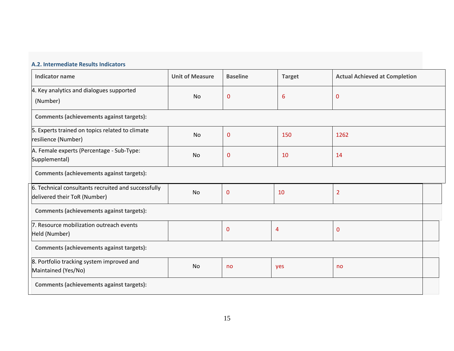# **A.2. Intermediate Results Indicators**

| <b>Indicator name</b>                                                               | <b>Unit of Measure</b> | <b>Baseline</b> | <b>Target</b>  | <b>Actual Achieved at Completion</b> |  |  |  |  |  |
|-------------------------------------------------------------------------------------|------------------------|-----------------|----------------|--------------------------------------|--|--|--|--|--|
| 4. Key analytics and dialogues supported<br>(Number)                                | No                     | $\mathbf 0$     | 6              | $\mathbf 0$                          |  |  |  |  |  |
| Comments (achievements against targets):                                            |                        |                 |                |                                      |  |  |  |  |  |
| 5. Experts trained on topics related to climate<br>resilience (Number)              | No                     | $\mathbf{0}$    | 150            | 1262                                 |  |  |  |  |  |
| A. Female experts (Percentage - Sub-Type:<br>Supplemental)                          | No                     | $\mathbf 0$     | 10             | 14                                   |  |  |  |  |  |
| <b>Comments (achievements against targets):</b>                                     |                        |                 |                |                                      |  |  |  |  |  |
| 6. Technical consultants recruited and successfully<br>delivered their ToR (Number) | <b>No</b>              | $\mathbf{0}$    | 10             | $\overline{2}$                       |  |  |  |  |  |
| <b>Comments (achievements against targets):</b>                                     |                        |                 |                |                                      |  |  |  |  |  |
| 7. Resource mobilization outreach events<br>Held (Number)                           |                        | $\mathbf{0}$    | $\overline{4}$ | 0                                    |  |  |  |  |  |
| Comments (achievements against targets):                                            |                        |                 |                |                                      |  |  |  |  |  |
| 8. Portfolio tracking system improved and<br>Maintained (Yes/No)                    | No                     | no              | yes            | no                                   |  |  |  |  |  |
| Comments (achievements against targets):                                            |                        |                 |                |                                      |  |  |  |  |  |